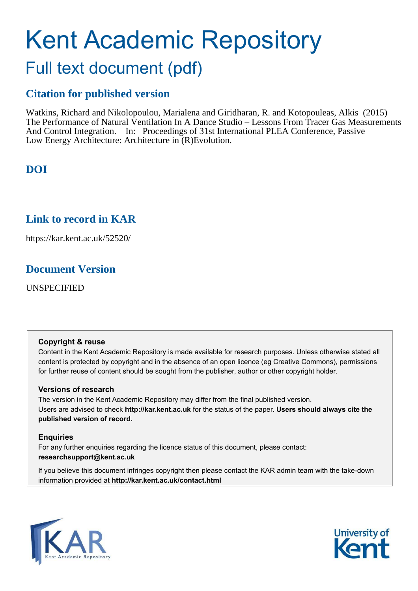# Kent Academic Repository

# Full text document (pdf)

# **Citation for published version**

Watkins, Richard and Nikolopoulou, Marialena and Giridharan, R. and Kotopouleas, Alkis (2015) The Performance of Natural Ventilation In A Dance Studio – Lessons From Tracer Gas Measurements And Control Integration. In: Proceedings of 31st International PLEA Conference, Passive Low Energy Architecture: Architecture in (R)Evolution.

# **DOI**

# **Link to record in KAR**

https://kar.kent.ac.uk/52520/

## **Document Version**

UNSPECIFIED

#### **Copyright & reuse**

Content in the Kent Academic Repository is made available for research purposes. Unless otherwise stated all content is protected by copyright and in the absence of an open licence (eg Creative Commons), permissions for further reuse of content should be sought from the publisher, author or other copyright holder.

#### **Versions of research**

The version in the Kent Academic Repository may differ from the final published version. Users are advised to check **http://kar.kent.ac.uk** for the status of the paper. **Users should always cite the published version of record.**

#### **Enquiries**

For any further enquiries regarding the licence status of this document, please contact: **researchsupport@kent.ac.uk**

If you believe this document infringes copyright then please contact the KAR admin team with the take-down information provided at **http://kar.kent.ac.uk/contact.html**



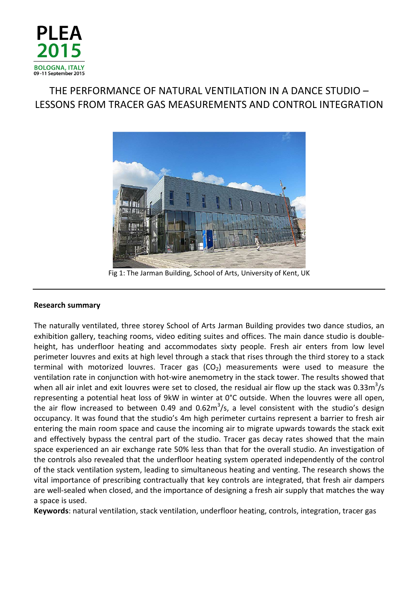

## THE PERFORMANCE OF NATURAL VENTILATION IN A DANCE STUDIO – LESSONS FROM TRACER GAS MEASUREMENTS AND CONTROL INTEGRATION



Fig 1: The Jarman Building, School of Arts, University of Kent, UK

#### Research summary

The naturally ventilated, three storey School of Arts Jarman Building provides two dance studios, an exhibition gallery, teaching rooms, video editing suites and offices. The main dance studio is doubleheight, has underfloor heating and accommodates sixty people. Fresh air enters from low level perimeter louvres and exits at high level through a stack that rises through the third storey to a stack terminal with motorized louvres. Tracer gas  $(CO<sub>2</sub>)$  measurements were used to measure the ventilation rate in conjunction with hot-wire anemometry in the stack tower. The results showed that when all air inlet and exit louvres were set to closed, the residual air flow up the stack was 0.33m<sup>3</sup>/s representing a potential heat loss of 9kW in winter at 0°C outside. When the louvres were all open, the air flow increased to between 0.49 and 0.62 $m^3/s$ , a level consistent with the studio's design occupancy. It was found that the studio's 4m high perimeter curtains represent a barrier to fresh air entering the main room space and cause the incoming air to migrate upwards towards the stack exit and effectively bypass the central part of the studio. Tracer gas decay rates showed that the main space experienced an air exchange rate 50% less than that for the overall studio. An investigation of the controls also revealed that the underfloor heating system operated independently of the control of the stack ventilation system, leading to simultaneous heating and venting. The research shows the vital importance of prescribing contractually that key controls are integrated, that fresh air dampers are well-sealed when closed, and the importance of designing a fresh air supply that matches the way a space is used.

Keywords: natural ventilation, stack ventilation, underfloor heating, controls, integration, tracer gas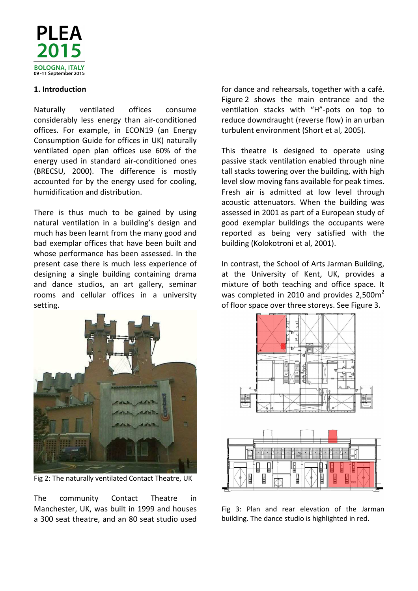

#### 1. Introduction

Naturally ventilated offices consume considerably less energy than air-conditioned offices. For example, in ECON19 (an Energy Consumption Guide for offices in UK) naturally ventilated open plan offices use 60% of the energy used in standard air-conditioned ones (BRECSU, 2000). The difference is mostly accounted for by the energy used for cooling, humidification and distribution.

There is thus much to be gained by using natural ventilation in a building's design and much has been learnt from the many good and bad exemplar offices that have been built and whose performance has been assessed. In the present case there is much less experience of designing a single building containing drama and dance studios, an art gallery, seminar rooms and cellular offices in a university setting.



Fig 2: The naturally ventilated Contact Theatre, UK

The community Contact Theatre in Manchester, UK, was built in 1999 and houses a 300 seat theatre, and an 80 seat studio used for dance and rehearsals, together with a café. Figure 2 shows the main entrance and the ventilation stacks with "H"-pots on top to reduce downdraught (reverse flow) in an urban turbulent environment (Short et al, 2005).

This theatre is designed to operate using passive stack ventilation enabled through nine tall stacks towering over the building, with high level slow moving fans available for peak times. Fresh air is admitted at low level through acoustic attenuators. When the building was assessed in 2001 as part of a European study of good exemplar buildings the occupants were reported as being very satisfied with the building (Kolokotroni et al, 2001).

In contrast, the School of Arts Jarman Building, at the University of Kent, UK, provides a mixture of both teaching and office space. It was completed in 2010 and provides  $2,500\,\text{m}^2$ of floor space over three storeys. See Figure 3.



Fig 3: Plan and rear elevation of the Jarman building. The dance studio is highlighted in red.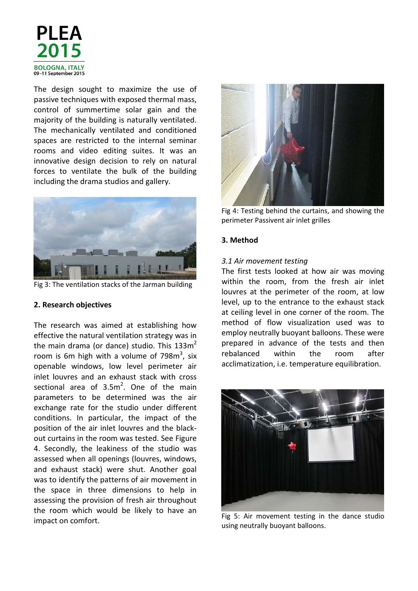

The design sought to maximize the use of passive techniques with exposed thermal mass, control of summertime solar gain and the majority of the building is naturally ventilated. The mechanically ventilated and conditioned spaces are restricted to the internal seminar rooms and video editing suites. It was an innovative design decision to rely on natural forces to ventilate the bulk of the building including the drama studios and gallery.



Fig 3: The ventilation stacks of the Jarman building

#### 2. Research objectives

The research was aimed at establishing how effective the natural ventilation strategy was in the main drama (or dance) studio. This  $133m^2$ room is 6m high with a volume of 798 $m^3$ , six openable windows, low level perimeter air inlet louvres and an exhaust stack with cross sectional area of  $3.5m^2$ . One of the main parameters to be determined was the air exchange rate for the studio under different conditions. In particular, the impact of the position of the air inlet louvres and the blackout curtains in the room was tested. See Figure 4. Secondly, the leakiness of the studio was assessed when all openings (louvres, windows, and exhaust stack) were shut. Another goal was to identify the patterns of air movement in the space in three dimensions to help in assessing the provision of fresh air throughout the room which would be likely to have an impact on comfort.



Fig 4: Testing behind the curtains, and showing the perimeter Passivent air inlet grilles

#### 3. Method

#### 3.1 Air movement testing

The first tests looked at how air was moving within the room, from the fresh air inlet louvres at the perimeter of the room, at low level, up to the entrance to the exhaust stack at ceiling level in one corner of the room. The method of flow visualization used was to employ neutrally buoyant balloons. These were prepared in advance of the tests and then rebalanced within the room after acclimatization, i.e. temperature equilibration.



Fig 5: Air movement testing in the dance studio using neutrally buoyant balloons.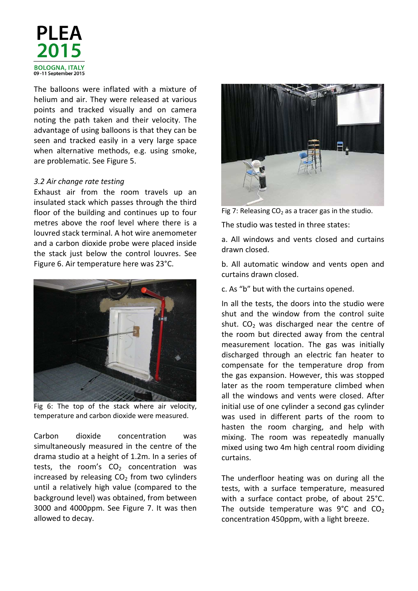

The balloons were inflated with a mixture of helium and air. They were released at various points and tracked visually and on camera noting the path taken and their velocity. The advantage of using balloons is that they can be seen and tracked easily in a very large space when alternative methods, e.g. using smoke, are problematic. See Figure 5.

#### 3.2 Air change rate testing

Exhaust air from the room travels up an insulated stack which passes through the third floor of the building and continues up to four metres above the roof level where there is a louvred stack terminal. A hot wire anemometer and a carbon dioxide probe were placed inside the stack just below the control louvres. See Figure 6. Air temperature here was 23°C.



Fig 6: The top of the stack where air velocity, temperature and carbon dioxide were measured.

Carbon dioxide concentration was simultaneously measured in the centre of the drama studio at a height of 1.2m. In a series of tests, the room's  $CO<sub>2</sub>$  concentration was increased by releasing  $CO<sub>2</sub>$  from two cylinders until a relatively high value (compared to the background level) was obtained, from between 3000 and 4000ppm. See Figure 7. It was then allowed to decay.



Fig 7: Releasing  $CO<sub>2</sub>$  as a tracer gas in the studio.

The studio was tested in three states:

a. All windows and vents closed and curtains drawn closed.

b. All automatic window and vents open and curtains drawn closed.

c. As "b" but with the curtains opened.

In all the tests, the doors into the studio were shut and the window from the control suite shut.  $CO<sub>2</sub>$  was discharged near the centre of the room but directed away from the central measurement location. The gas was initially discharged through an electric fan heater to compensate for the temperature drop from the gas expansion. However, this was stopped later as the room temperature climbed when all the windows and vents were closed. After initial use of one cylinder a second gas cylinder was used in different parts of the room to hasten the room charging, and help with mixing. The room was repeatedly manually mixed using two 4m high central room dividing curtains.

The underfloor heating was on during all the tests, with a surface temperature, measured with a surface contact probe, of about 25°C. The outside temperature was  $9^{\circ}$ C and CO<sub>2</sub> concentration 450ppm, with a light breeze.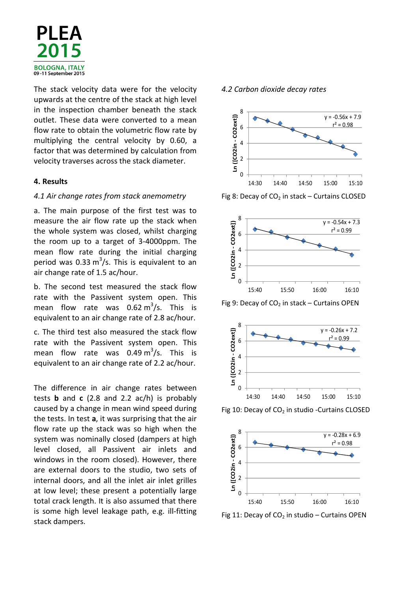

The stack velocity data were for the velocity upwards at the centre of the stack at high level in the inspection chamber beneath the stack outlet. These data were converted to a mean flow rate to obtain the volumetric flow rate by multiplying the central velocity by 0.60, a factor that was determined by calculation from velocity traverses across the stack diameter.

#### 4. Results

#### 4.1 Air change rates from stack anemometry

a. The main purpose of the first test was to measure the air flow rate up the stack when the whole system was closed, whilst charging the room up to a target of 3-4000ppm. The mean flow rate during the initial charging period was 0.33  $\text{m}^3\text{/s}$ . This is equivalent to an air change rate of 1.5 ac/hour.

b. The second test measured the stack flow rate with the Passivent system open. This mean flow rate was  $0.62 \text{ m}^3/\text{s}$ . This is equivalent to an air change rate of 2.8 ac/hour.

c. The third test also measured the stack flow rate with the Passivent system open. This mean flow rate was  $0.49 \text{ m}^3/\text{s}$ . This is equivalent to an air change rate of 2.2 ac/hour.

The difference in air change rates between tests **b** and **c** (2.8 and 2.2  $ac/h$ ) is probably caused by a change in mean wind speed during the tests. In test a, it was surprising that the air flow rate up the stack was so high when the system was nominally closed (dampers at high level closed, all Passivent air inlets and windows in the room closed). However, there are external doors to the studio, two sets of internal doors, and all the inlet air inlet grilles at low level; these present a potentially large total crack length. It is also assumed that there is some high level leakage path, e.g. ill-fitting stack dampers.

#### 4.2 Carbon dioxide decay rates



Fig 8: Decay of  $CO<sub>2</sub>$  in stack – Curtains CLOSED



Fig 9: Decay of  $CO<sub>2</sub>$  in stack – Curtains OPEN



Fig 10: Decay of  $CO<sub>2</sub>$  in studio -Curtains CLOSED



Fig 11: Decay of  $CO<sub>2</sub>$  in studio – Curtains OPEN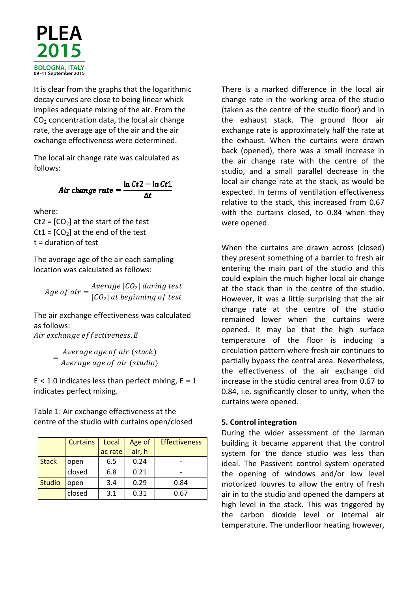

It is clear from the graphs that the logarithmic decay curves are close to being linear whick implies adequate mixing of the air. From the  $CO<sub>2</sub>$  concentration data, the local air change rate, the average age of the air and the air exchange effectiveness were determined.

The local air change rate was calculated as follows:

Air change rate  $=$   $\frac{\ln Ct2 - \ln Ct1}{\Delta t}$ 

where:

Ct2 =  $[CO<sub>2</sub>]$  at the start of the test  $Ct1 = [CO<sub>2</sub>]$  at the end of the test t = duration of test

The average age of the air each sampling location was calculated as follows:

Age of  $air =$ Average [CO $_{2}$ ] during test  $[CO<sub>2</sub>]$  at beginning of test

The air exchange effectiveness was calculated as follows:

Air exchange effectiveness, E

= Average age of air (stack) Average age of air (studio)

 $E < 1.0$  indicates less than perfect mixing,  $E = 1$ indicates perfect mixing.

Table 1: Air exchange effectiveness at the centre of the studio with curtains open/closed

|               | <b>Curtains</b> | Local   | Age of | <b>Effectiveness</b> |
|---------------|-----------------|---------|--------|----------------------|
|               |                 | ac rate | air, h |                      |
| <b>Stack</b>  | open            | 6.5     | 0.24   |                      |
|               | closed          | 6.8     | 0.21   |                      |
| <b>Studio</b> | open            | 3.4     | 0.29   | 0.84                 |
|               | closed          | 3.1     | 0.31   | 0.67                 |

There is a marked difference in the local air change rate in the working area of the studio (taken as the centre of the studio floor) and in the exhaust stack. The ground floor air exchange rate is approximately half the rate at the exhaust. When the curtains were drawn back (opened), there was a small increase in the air change rate with the centre of the studio, and a small parallel decrease in the local air change rate at the stack, as would be expected. In terms of ventilation effectiveness relative to the stack, this increased from 0.67 with the curtains closed, to 0.84 when they were opened.

When the curtains are drawn across (closed) they present something of a barrier to fresh air entering the main part of the studio and this could explain the much higher local air change at the stack than in the centre of the studio. However, it was a little surprising that the air change rate at the centre of the studio remained lower when the curtains were opened. It may be that the high surface temperature of the floor is inducing a circulation pattern where fresh air continues to partially bypass the central area. Nevertheless, the effectiveness of the air exchange did increase in the studio central area from 0.67 to 0.84, i.e. significantly closer to unity, when the curtains were opened.

#### 5. Control integration

During the wider assessment of the Jarman building it became apparent that the control system for the dance studio was less than ideal. The Passivent control system operated the opening of windows and/or low level motorized louvres to allow the entry of fresh air in to the studio and opened the dampers at high level in the stack. This was triggered by the carbon dioxide level or internal air temperature. The underfloor heating however,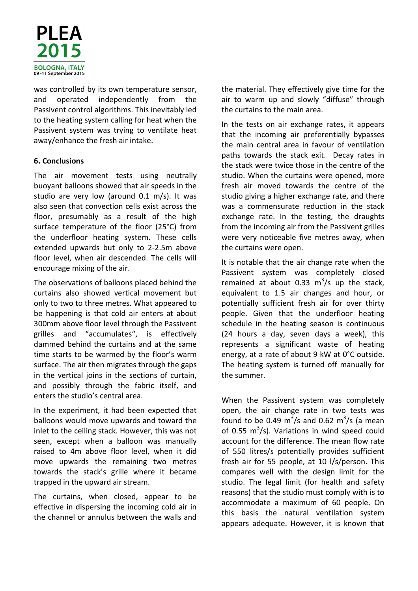

was controlled by its own temperature sensor, and operated independently from the Passivent control algorithms. This inevitably led to the heating system calling for heat when the Passivent system was trying to ventilate heat away/enhance the fresh air intake.

#### 6. Conclusions

The air movement tests using neutrally buoyant balloons showed that air speeds in the studio are very low (around 0.1 m/s). It was also seen that convection cells exist across the floor, presumably as a result of the high surface temperature of the floor (25°C) from the underfloor heating system. These cells extended upwards but only to 2-2.5m above floor level, when air descended. The cells will encourage mixing of the air.

The observations of balloons placed behind the curtains also showed vertical movement but only to two to three metres. What appeared to be happening is that cold air enters at about 300mm above floor level through the Passivent grilles and "accumulates", is effectively dammed behind the curtains and at the same time starts to be warmed by the floor's warm surface. The air then migrates through the gaps in the vertical joins in the sections of curtain, and possibly through the fabric itself, and enters the studio's central area.

In the experiment, it had been expected that balloons would move upwards and toward the inlet to the ceiling stack. However, this was not seen, except when a balloon was manually raised to 4m above floor level, when it did move upwards the remaining two metres towards the stack's grille where it became trapped in the upward air stream.

The curtains, when closed, appear to be effective in dispersing the incoming cold air in the channel or annulus between the walls and

the material. They effectively give time for the air to warm up and slowly "diffuse" through the curtains to the main area.

In the tests on air exchange rates, it appears that the incoming air preferentially bypasses the main central area in favour of ventilation paths towards the stack exit. Decay rates in the stack were twice those in the centre of the studio. When the curtains were opened, more fresh air moved towards the centre of the studio giving a higher exchange rate, and there was a commensurate reduction in the stack exchange rate. In the testing, the draughts from the incoming air from the Passivent grilles were very noticeable five metres away, when the curtains were open.

It is notable that the air change rate when the Passivent system was completely closed remained at about 0.33  $m^3/s$  up the stack, equivalent to 1.5 air changes and hour, or potentially sufficient fresh air for over thirty people. Given that the underfloor heating schedule in the heating season is continuous (24 hours a day, seven days a week), this represents a significant waste of heating energy, at a rate of about 9 kW at 0°C outside. The heating system is turned off manually for the summer.

When the Passivent system was completely open, the air change rate in two tests was found to be 0.49  $\text{m}^3\text{/s}$  and 0.62  $\text{m}^3\text{/s}$  (a mean of 0.55  $m^3/s$ ). Variations in wind speed could account for the difference. The mean flow rate of 550 litres/s potentially provides sufficient fresh air for 55 people, at 10 l/s/person. This compares well with the design limit for the studio. The legal limit (for health and safety reasons) that the studio must comply with is to accommodate a maximum of 60 people. On this basis the natural ventilation system appears adequate. However, it is known that